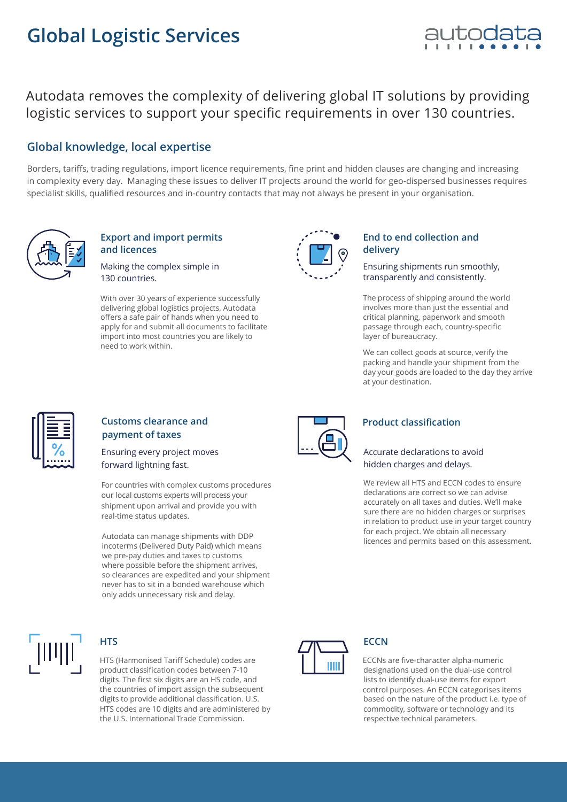# **Global Logistic Services**



Autodata removes the complexity of delivering global IT solutions by providing logistic services to support your specific requirements in over 130 countries.

## **Global knowledge, local expertise**

Borders, tariffs, trading regulations, import licence requirements, fine print and hidden clauses are changing and increasing in complexity every day. Managing these issues to deliver IT projects around the world for geo-dispersed businesses requires specialist skills, qualified resources and in-country contacts that may not always be present in your organisation.



#### **Export and import permits and licences**

Making the complex simple in 130 countries.

With over 30 years of experience successfully delivering global logistics projects, Autodata offers a safe pair of hands when you need to apply for and submit all documents to facilitate import into most countries you are likely to need to work within.



#### **End to end collection and delivery**

Ensuring shipments run smoothly, transparently and consistently.

The process of shipping around the world involves more than just the essential and critical planning, paperwork and smooth passage through each, country-specific layer of bureaucracy.

We can collect goods at source, verify the packing and handle your shipment from the day your goods are loaded to the day they arrive at your destination.



#### **Customs clearance and payment of taxes**

Ensuring every project moves forward lightning fast.

For countries with complex customs procedures our local customs experts will process your shipment upon arrival and provide you with real-time status updates.

Autodata can manage shipments with DDP incoterms (Delivered Duty Paid) which means we pre-pay duties and taxes to customs where possible before the shipment arrives, so clearances are expedited and your shipment never has to sit in a bonded warehouse which only adds unnecessary risk and delay.



#### **HTS**

product classification codes between 7-10 digits. The first six digits are an HS code, and the countries of import assign the subsequent digits to provide additional classification. U.S. HTS codes are 10 digits and are administered by the U.S. International Trade Commission. HTS (Harmonised Tariff Schedule) codes are



#### **Product classification**

#### Accurate declarations to avoid hidden charges and delays.

We review all HTS and ECCN codes to ensure declarations are correct so we can advise accurately on all taxes and duties. We'll make sure there are no hidden charges or surprises in relation to product use in your target country for each project. We obtain all necessary licences and permits based on this assessment.



## **ECCN**

ECCNs are five-character alpha-numeric designations used on the dual-use control lists to identify dual-use items for export control purposes. An ECCN categorises items based on the nature of the product i.e. type of commodity, software or technology and its respective technical parameters.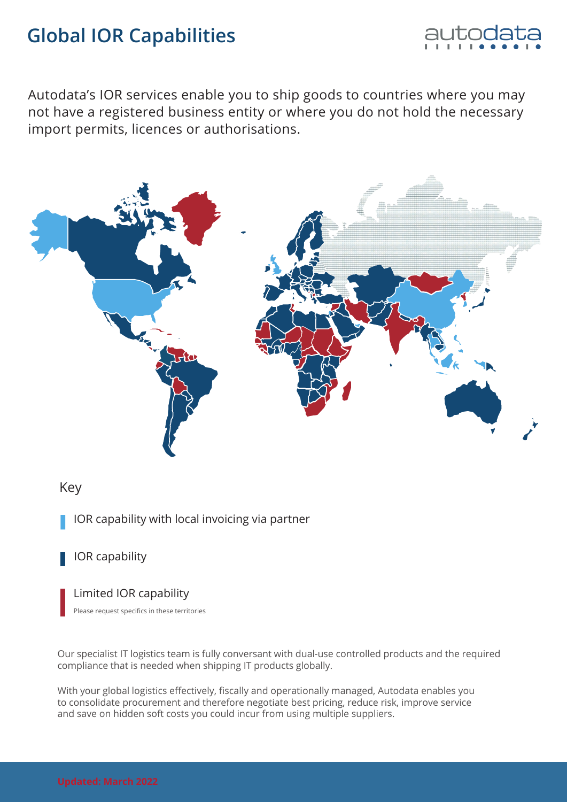# **Global IOR Capabilities**



Autodata's IOR services enable you to ship goods to countries where you may not have a registered business entity or where you do not hold the necessary import permits, licences or authorisations.



### Key

IOR capability with local invoicing via partner

## IOR capability

Limited IOR capability

Please request specifics in these territories

Our specialist IT logistics team is fully conversant with dual-use controlled products and the required compliance that is needed when shipping IT products globally.

With your global logistics effectively, fiscally and operationally managed, Autodata enables you to consolidate procurement and therefore negotiate best pricing, reduce risk, improve service and save on hidden soft costs you could incur from using multiple suppliers.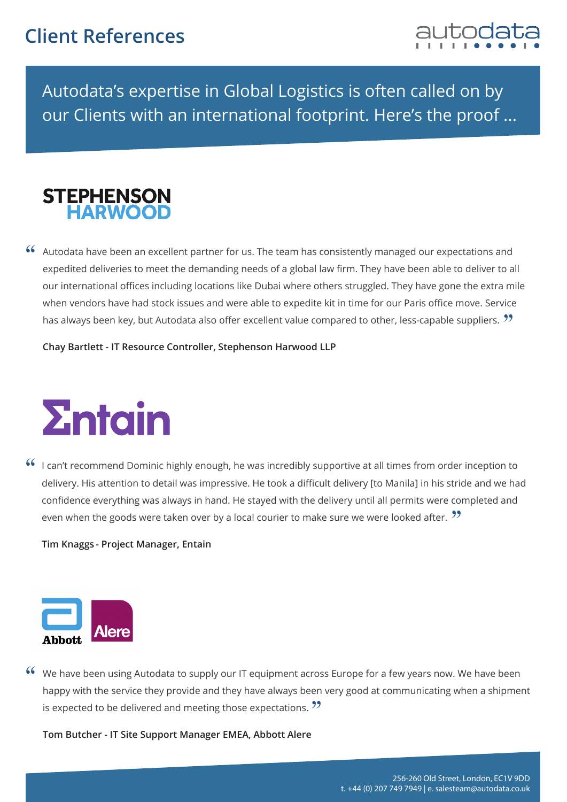

Autodata's expertise in Global Logistics is often called on by our Clients with an international footprint. Here's the proof ...



Autodata have been an excellent partner for us. The team has consistently managed our expectations and "expedited deliveries to meet the demanding needs of a global law firm. They have been able to deliver to all our international offices including locations like Dubai where others struggled. They have gone the extra mile when vendors have had stock issues and were able to expedite kit in time for our Paris office move. Service has always been key, but Autodata also offer excellent value compared to other, less-capable suppliers.  $\bm{\mathfrak{H}}$ 

**Chay Bartlett - IT Resource Controller, Stephenson Harwood LLP**



I can't recommend Dominic highly enough, he was incredibly supportive at all times from order inception to delivery. His attention to detail was impressive. He took a difficult delivery [to Manila] in his stride and we had confidence everything was always in hand. He stayed with the delivery until all permits were completed and<br>even when the goods were taken over by a local courier to make sure we were looked after 22 even when the goods were taken over by a local courier to make sure we were looked after.  $\mathcal{V}$ "

**Tim Knaggs - Project Manager, Entain**



We have been using Autodata to supply our IT equipment across Europe for a few years now. We have been "happy with the service they provide and they have always been very good at communicating when a shipment<br>is expected to be delivered and meeting those expectations.  $\bm{\mathcal{D}}$ is expected to be delivered and meeting those expectations.  $\mathfrak{D}$ 

**Tom Butcher - IT Site Support Manager EMEA, Abbott Alere**